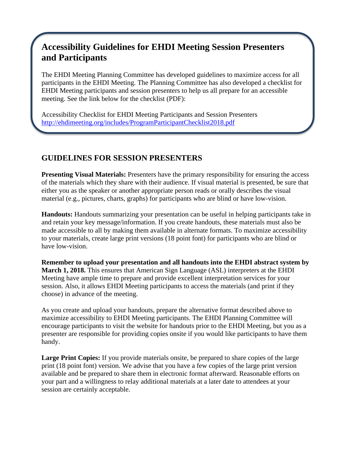## **Accessibility Guidelines for EHDI Meeting Session Presenters and Participants**

The EHDI Meeting Planning Committee has developed guidelines to maximize access for all participants in the EHDI Meeting. The Planning Committee has also developed a checklist for EHDI Meeting participants and session presenters to help us all prepare for an accessible meeting. See the link below for the checklist (PDF):

Accessibility Checklist for EHDI Meeting Participants and Session Presenters <http://ehdimeeting.org/includes/ProgramParticipantChecklist2018.pdf>

## **GUIDELINES FOR SESSION PRESENTERS**

**Presenting Visual Materials:** Presenters have the primary responsibility for ensuring the access of the materials which they share with their audience. If visual material is presented, be sure that either you as the speaker or another appropriate person reads or orally describes the visual material (e.g., pictures, charts, graphs) for participants who are blind or have low-vision.

**Handouts:** Handouts summarizing your presentation can be useful in helping participants take in and retain your key message/information. If you create handouts, these materials must also be made accessible to all by making them available in alternate formats. To maximize accessibility to your materials, create large print versions (18 point font) for participants who are blind or have low-vision.

**Remember to upload your presentation and all handouts into the EHDI abstract system by March 1, 2018.** This ensures that American Sign Language (ASL) interpreters at the EHDI Meeting have ample time to prepare and provide excellent interpretation services for your session. Also, it allows EHDI Meeting participants to access the materials (and print if they choose) in advance of the meeting.

As you create and upload your handouts, prepare the alternative format described above to maximize accessibility to EHDI Meeting participants. The EHDI Planning Committee will encourage participants to visit the website for handouts prior to the EHDI Meeting, but you as a presenter are responsible for providing copies onsite if you would like participants to have them handy.

Large Print Copies: If you provide materials onsite, be prepared to share copies of the large print (18 point font) version. We advise that you have a few copies of the large print version available and be prepared to share them in electronic format afterward. Reasonable efforts on your part and a willingness to relay additional materials at a later date to attendees at your session are certainly acceptable.